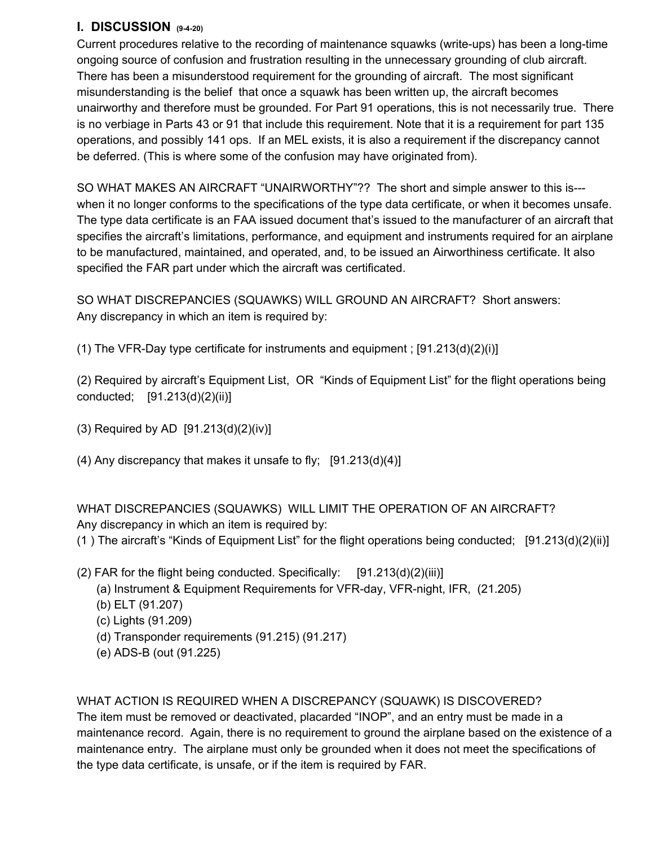## **I. DISCUSSION (9-4-20)**

Current procedures relative to the recording of maintenance squawks (write-ups) has been a long-time ongoing source of confusion and frustration resulting in the unnecessary grounding of club aircraft. There has been a misunderstood requirement for the grounding of aircraft. The most significant misunderstanding is the belief that once a squawk has been written up, the aircraft becomes unairworthy and therefore must be grounded. For Part 91 operations, this is not necessarily true. There is no verbiage in Parts 43 or 91 that include this requirement. Note that it is a requirement for part 135 operations, and possibly 141 ops. If an MEL exists, it is also a requirement if the discrepancy cannot be deferred. (This is where some of the confusion may have originated from).

SO WHAT MAKES AN AIRCRAFT "UNAIRWORTHY"?? The short and simple answer to this is-- when it no longer conforms to the specifications of the type data certificate, or when it becomes unsafe. The type data certificate is an FAA issued document that's issued to the manufacturer of an aircraft that specifies the aircraft's limitations, performance, and equipment and instruments required for an airplane to be manufactured, maintained, and operated, and, to be issued an Airworthiness certificate. It also specified the FAR part under which the aircraft was certificated.

SO WHAT DISCREPANCIES (SQUAWKS) WILL GROUND AN AIRCRAFT? Short answers: Any discrepancy in which an item is required by:

(1) The VFR-Day type certificate for instruments and equipment ;  $[91.213(d)(2)(i)]$ 

(2) Required by aircraft's Equipment List, OR "Kinds of Equipment List" for the flight operations being conducted; [91.213(d)(2)(ii)]

(3) Required by AD [91.213(d)(2)(iv)]

(4) Any discrepancy that makes it unsafe to fly;  $[91.213(d)(4)]$ 

WHAT DISCREPANCIES (SQUAWKS) WILL LIMIT THE OPERATION OF AN AIRCRAFT? Any discrepancy in which an item is required by:

(1 ) The aircraft's "Kinds of Equipment List" for the flight operations being conducted; [91.213(d)(2)(ii)]

- (2) FAR for the flight being conducted. Specifically:  $[91.213(d)(2)(iii)]$ 
	- (a) Instrument & Equipment Requirements for VFR-day, VFR-night, IFR, (21.205)
	- (b) ELT (91.207)
	- (c) Lights (91.209)
	- (d) Transponder requirements (91.215) (91.217)
	- (e) ADS-B (out (91.225)

## WHAT ACTION IS REQUIRED WHEN A DISCREPANCY (SQUAWK) IS DISCOVERED?

The item must be removed or deactivated, placarded "INOP", and an entry must be made in a maintenance record. Again, there is no requirement to ground the airplane based on the existence of a maintenance entry. The airplane must only be grounded when it does not meet the specifications of the type data certificate, is unsafe, or if the item is required by FAR.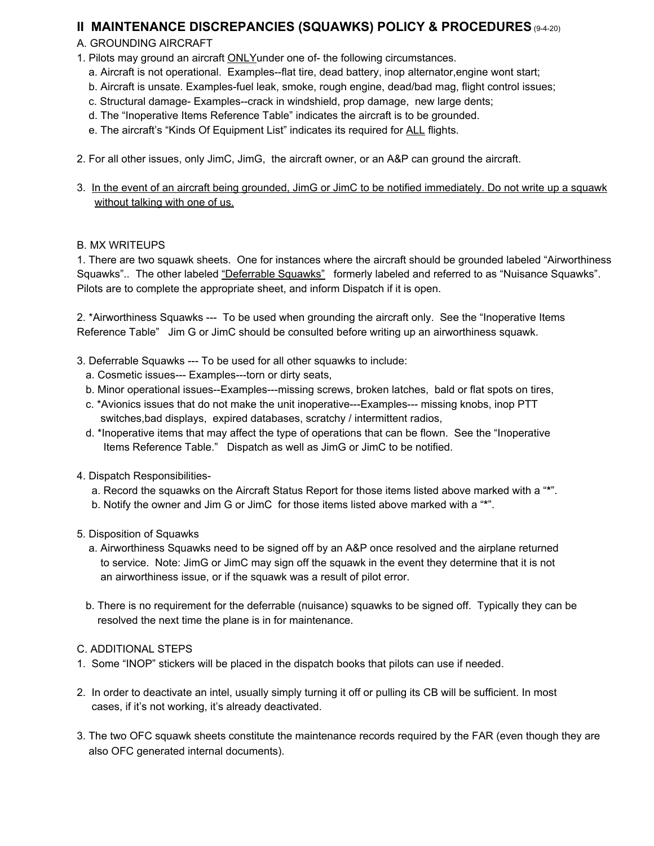## **II MAINTENANCE DISCREPANCIES (SQUAWKS) POLICY & PROCEDURES** (9-4-20)

### A. GROUNDING AIRCRAFT

- 1. Pilots may ground an aircraft ONLYunder one of- the following circumstances.
	- a. Aircraft is not operational. Examples--flat tire, dead battery, inop alternator,engine wont start;
	- b. Aircraft is unsate. Examples-fuel leak, smoke, rough engine, dead/bad mag, flight control issues;
	- c. Structural damage- Examples--crack in windshield, prop damage, new large dents;
	- d. The "Inoperative Items Reference Table" indicates the aircraft is to be grounded.
	- e. The aircraft's "Kinds Of Equipment List" indicates its required for ALL flights.
- 2. For all other issues, only JimC, JimG, the aircraft owner, or an A&P can ground the aircraft.
- 3. In the event of an aircraft being grounded, JimG or JimC to be notified immediately. Do not write up a squawk without talking with one of us.

#### B. MX WRITEUPS

1. There are two squawk sheets. One for instances where the aircraft should be grounded labeled "Airworthiness Squawks".. The other labeled "Deferrable Squawks" formerly labeled and referred to as "Nuisance Squawks". Pilots are to complete the appropriate sheet, and inform Dispatch if it is open.

2. \*Airworthiness Squawks --- To be used when grounding the aircraft only. See the "Inoperative Items Reference Table" Jim G or JimC should be consulted before writing up an airworthiness squawk.

- 3. Deferrable Squawks --- To be used for all other squawks to include:
	- a. Cosmetic issues--- Examples---torn or dirty seats,
	- b. Minor operational issues--Examples---missing screws, broken latches, bald or flat spots on tires,
	- c. \*Avionics issues that do not make the unit inoperative---Examples--- missing knobs, inop PTT switches,bad displays, expired databases, scratchy / intermittent radios,
	- d. \*Inoperative items that may affect the type of operations that can be flown. See the "Inoperative Items Reference Table." Dispatch as well as JimG or JimC to be notified.
- 4. Dispatch Responsibilities
	- a. Record the squawks on the Aircraft Status Report for those items listed above marked with a "**\***".
	- b. Notify the owner and Jim G or JimC for those items listed above marked with a "**\***".
- 5. Disposition of Squawks
	- a. Airworthiness Squawks need to be signed off by an A&P once resolved and the airplane returned to service. Note: JimG or JimC may sign off the squawk in the event they determine that it is not an airworthiness issue, or if the squawk was a result of pilot error.
	- b. There is no requirement for the deferrable (nuisance) squawks to be signed off. Typically they can be resolved the next time the plane is in for maintenance.

#### C. ADDITIONAL STEPS

- 1. Some "INOP" stickers will be placed in the dispatch books that pilots can use if needed.
- 2. In order to deactivate an intel, usually simply turning it off or pulling its CB will be sufficient. In most cases, if it's not working, it's already deactivated.
- 3. The two OFC squawk sheets constitute the maintenance records required by the FAR (even though they are also OFC generated internal documents).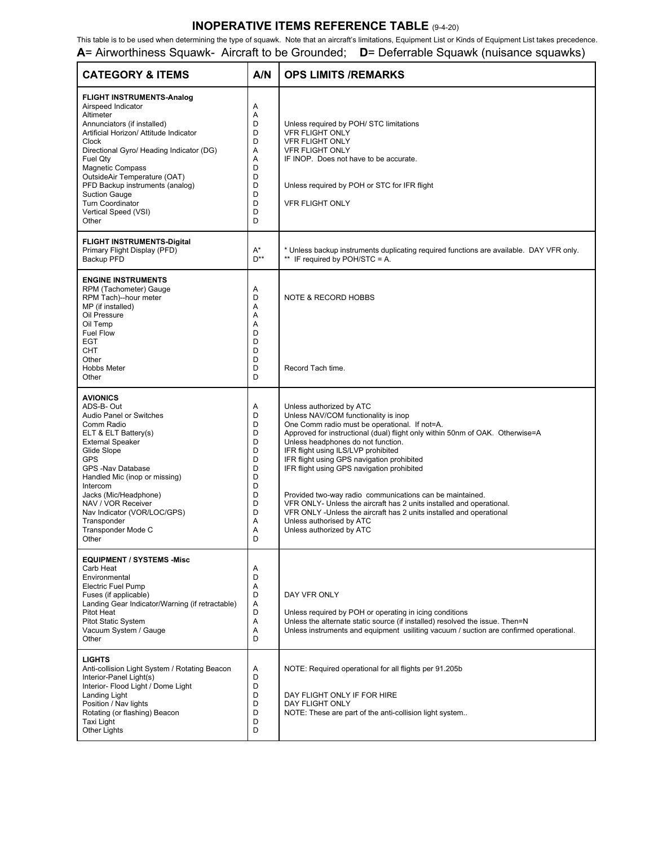### **INOPERATIVE ITEMS REFERENCE TABLE** (9-4-20)

This table is to be used when determining the type of squawk. Note that an aircraft's limitations, Equipment List or Kinds of Equipment List takes precedence. **A**= Airworthiness Squawk- Aircraft to be Grounded; **D**= Deferrable Squawk (nuisance squawks)

| <b>CATEGORY &amp; ITEMS</b>                                                                                                                                                                                                                                                                                                                                                                            | A/N                                                                          | <b>OPS LIMITS /REMARKS</b>                                                                                                                                                                                                                                                                                                                                                                                                                                                                                                                                                                                                                      |
|--------------------------------------------------------------------------------------------------------------------------------------------------------------------------------------------------------------------------------------------------------------------------------------------------------------------------------------------------------------------------------------------------------|------------------------------------------------------------------------------|-------------------------------------------------------------------------------------------------------------------------------------------------------------------------------------------------------------------------------------------------------------------------------------------------------------------------------------------------------------------------------------------------------------------------------------------------------------------------------------------------------------------------------------------------------------------------------------------------------------------------------------------------|
| <b>FLIGHT INSTRUMENTS-Analog</b><br>Airspeed Indicator<br>Altimeter<br>Annunciators (if installed)<br>Artificial Horizon/ Attitude Indicator<br><b>Clock</b><br>Directional Gyro/ Heading Indicator (DG)<br>Fuel Qty<br><b>Magnetic Compass</b><br>OutsideAir Temperature (OAT)<br>PFD Backup instruments (analog)<br><b>Suction Gauge</b><br><b>Turn Coordinator</b><br>Vertical Speed (VSI)<br>Other | Α<br>Α<br>D<br>D<br>D<br>Α<br>A<br>D<br>D<br>D<br>D<br>D<br>D<br>D           | Unless required by POH/ STC limitations<br><b>VFR FLIGHT ONLY</b><br><b>VFR FLIGHT ONLY</b><br><b>VFR FLIGHT ONLY</b><br>IF INOP. Does not have to be accurate.<br>Unless required by POH or STC for IFR flight<br><b>VFR FLIGHT ONLY</b>                                                                                                                                                                                                                                                                                                                                                                                                       |
| <b>FLIGHT INSTRUMENTS-Digital</b><br>Primary Flight Display (PFD)<br>Backup PFD                                                                                                                                                                                                                                                                                                                        | $A^*$<br>$D^{**}$                                                            | * Unless backup instruments duplicating required functions are available. DAY VFR only.<br>** IF required by POH/STC = A.                                                                                                                                                                                                                                                                                                                                                                                                                                                                                                                       |
| <b>ENGINE INSTRUMENTS</b><br>RPM (Tachometer) Gauge<br>RPM Tach)--hour meter<br>MP (if installed)<br>Oil Pressure<br>Oil Temp<br><b>Fuel Flow</b><br><b>EGT</b><br>CHT<br>Other<br><b>Hobbs Meter</b><br>Other                                                                                                                                                                                         | Α<br>D<br>Α<br>Α<br>A<br>D<br>D<br>D<br>D<br>D<br>D                          | <b>NOTE &amp; RECORD HOBBS</b><br>Record Tach time.                                                                                                                                                                                                                                                                                                                                                                                                                                                                                                                                                                                             |
| <b>AVIONICS</b><br>ADS-B-Out<br><b>Audio Panel or Switches</b><br>Comm Radio<br>ELT & ELT Battery(s)<br><b>External Speaker</b><br>Glide Slope<br><b>GPS</b><br>GPS -Nav Database<br>Handled Mic (inop or missing)<br>Intercom<br>Jacks (Mic/Headphone)<br>NAV / VOR Receiver<br>Nav Indicator (VOR/LOC/GPS)<br>Transponder<br>Transponder Mode C<br>Other                                             | Α<br>D<br>D<br>D<br>D<br>D<br>D<br>D<br>D<br>D<br>D<br>D<br>D<br>Α<br>A<br>D | Unless authorized by ATC<br>Unless NAV/COM functionality is inop<br>One Comm radio must be operational. If not=A.<br>Approved for instructional (dual) flight only within 50nm of OAK. Otherwise=A<br>Unless headphones do not function.<br>IFR flight using ILS/LVP prohibited<br>IFR flight using GPS navigation prohibited<br>IFR flight using GPS navigation prohibited<br>Provided two-way radio communications can be maintained.<br>VFR ONLY- Unless the aircraft has 2 units installed and operational.<br>VFR ONLY - Unless the aircraft has 2 units installed and operational<br>Unless authorised by ATC<br>Unless authorized by ATC |
| <b>EQUIPMENT / SYSTEMS -Misc</b><br>Carb Heat<br>Environmental<br><b>Electric Fuel Pump</b><br>Fuses (if applicable)<br>Landing Gear Indicator/Warning (if retractable)<br>Pitot Heat<br><b>Pitot Static System</b><br>Vacuum System / Gauge<br>Other                                                                                                                                                  | Α<br>D<br>Α<br>D<br>Α<br>D<br>Α<br>Α<br>D                                    | DAY VFR ONLY<br>Unless required by POH or operating in icing conditions<br>Unless the alternate static source (if installed) resolved the issue. Then=N<br>Unless instruments and equipment usiliting vacuum / suction are confirmed operational.                                                                                                                                                                                                                                                                                                                                                                                               |
| <b>LIGHTS</b><br>Anti-collision Light System / Rotating Beacon<br>Interior-Panel Light(s)<br>Interior- Flood Light / Dome Light<br>Landing Light<br>Position / Nav lights<br>Rotating (or flashing) Beacon<br>Taxi Light<br>Other Lights                                                                                                                                                               | Α<br>D<br>D<br>D<br>D<br>D<br>D<br>D                                         | NOTE: Required operational for all flights per 91.205b<br>DAY FLIGHT ONLY IF FOR HIRE<br>DAY FLIGHT ONLY<br>NOTE: These are part of the anti-collision light system                                                                                                                                                                                                                                                                                                                                                                                                                                                                             |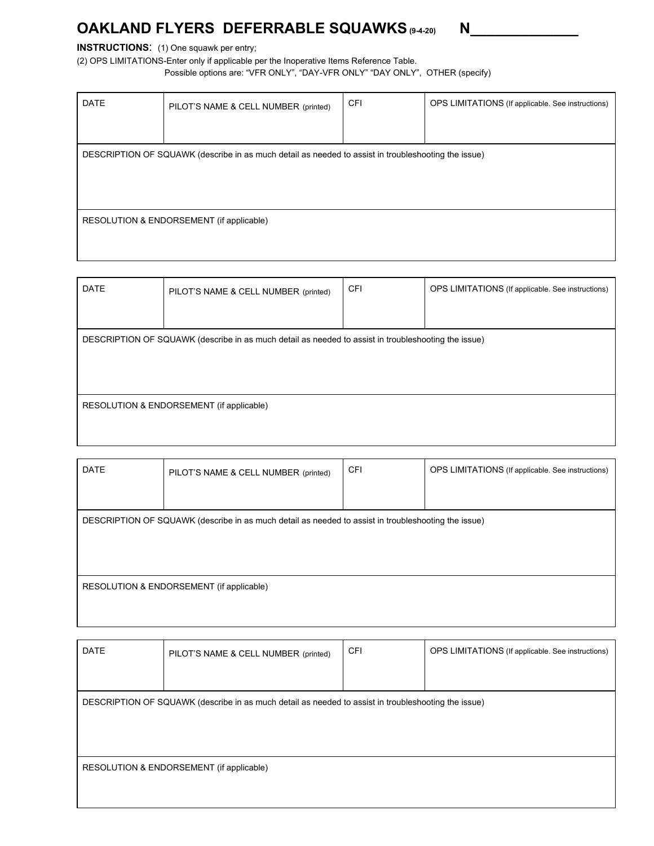# **OAKLAND FLYERS DEFERRABLE SQUAWKS(9-4-20) N\_\_\_\_\_\_\_\_\_\_\_\_\_**

# **INSTRUCTIONS:** (1) One squawk per entry;

(2) OPS LIMITATIONS-Enter only if applicable per the Inoperative Items Reference Table.

Possible options are: "VFR ONLY", "DAY-VFR ONLY" "DAY ONLY", OTHER (specify)

| <b>DATE</b>                                                                                         | PILOT'S NAME & CELL NUMBER (printed) | <b>CFI</b> | OPS LIMITATIONS (If applicable. See instructions) |  |
|-----------------------------------------------------------------------------------------------------|--------------------------------------|------------|---------------------------------------------------|--|
|                                                                                                     |                                      |            |                                                   |  |
| DESCRIPTION OF SQUAWK (describe in as much detail as needed to assist in troubleshooting the issue) |                                      |            |                                                   |  |
|                                                                                                     |                                      |            |                                                   |  |
|                                                                                                     |                                      |            |                                                   |  |
| RESOLUTION & ENDORSEMENT (if applicable)                                                            |                                      |            |                                                   |  |
|                                                                                                     |                                      |            |                                                   |  |
|                                                                                                     |                                      |            |                                                   |  |

| <b>DATE</b>                                                                                         | PILOT'S NAME & CELL NUMBER (printed) | CFI | OPS LIMITATIONS (If applicable. See instructions) |  |
|-----------------------------------------------------------------------------------------------------|--------------------------------------|-----|---------------------------------------------------|--|
|                                                                                                     |                                      |     |                                                   |  |
| DESCRIPTION OF SQUAWK (describe in as much detail as needed to assist in troubleshooting the issue) |                                      |     |                                                   |  |
|                                                                                                     |                                      |     |                                                   |  |
|                                                                                                     |                                      |     |                                                   |  |
| RESOLUTION & ENDORSEMENT (if applicable)                                                            |                                      |     |                                                   |  |
|                                                                                                     |                                      |     |                                                   |  |

| <b>DATE</b> | PILOT'S NAME & CELL NUMBER (printed)                                                                | <b>CFI</b> | OPS LIMITATIONS (If applicable. See instructions) |
|-------------|-----------------------------------------------------------------------------------------------------|------------|---------------------------------------------------|
|             |                                                                                                     |            |                                                   |
|             | DESCRIPTION OF SQUAWK (describe in as much detail as needed to assist in troubleshooting the issue) |            |                                                   |
|             |                                                                                                     |            |                                                   |
|             |                                                                                                     |            |                                                   |
|             | RESOLUTION & ENDORSEMENT (if applicable)                                                            |            |                                                   |
|             |                                                                                                     |            |                                                   |

| <b>DATE</b> | PILOT'S NAME & CELL NUMBER (printed)                                                                | <b>CFI</b> | OPS LIMITATIONS (If applicable. See instructions) |  |  |
|-------------|-----------------------------------------------------------------------------------------------------|------------|---------------------------------------------------|--|--|
|             |                                                                                                     |            |                                                   |  |  |
|             | DESCRIPTION OF SQUAWK (describe in as much detail as needed to assist in troubleshooting the issue) |            |                                                   |  |  |
|             |                                                                                                     |            |                                                   |  |  |
|             |                                                                                                     |            |                                                   |  |  |
|             |                                                                                                     |            |                                                   |  |  |
|             | RESOLUTION & ENDORSEMENT (if applicable)                                                            |            |                                                   |  |  |
|             |                                                                                                     |            |                                                   |  |  |
|             |                                                                                                     |            |                                                   |  |  |